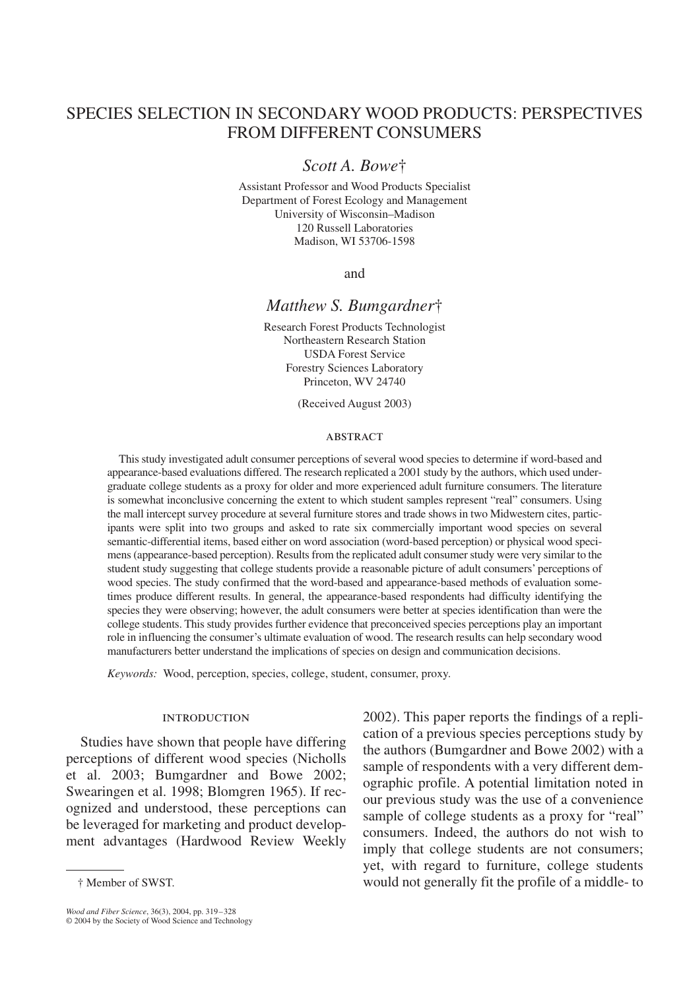# SPECIES SELECTION IN SECONDARY WOOD PRODUCTS: PERSPECTIVES FROM DIFFERENT CONSUMERS

## *Scott A. Bowe*†

Assistant Professor and Wood Products Specialist Department of Forest Ecology and Management University of Wisconsin–Madison 120 Russell Laboratories Madison, WI 53706-1598

and

### *Matthew S. Bumgardner*†

Research Forest Products Technologist Northeastern Research Station USDA Forest Service Forestry Sciences Laboratory Princeton, WV 24740

(Received August 2003)

#### **ABSTRACT**

This study investigated adult consumer perceptions of several wood species to determine if word-based and appearance-based evaluations differed. The research replicated a 2001 study by the authors, which used undergraduate college students as a proxy for older and more experienced adult furniture consumers. The literature is somewhat inconclusive concerning the extent to which student samples represent "real" consumers. Using the mall intercept survey procedure at several furniture stores and trade shows in two Midwestern cites, participants were split into two groups and asked to rate six commercially important wood species on several semantic-differential items, based either on word association (word-based perception) or physical wood specimens (appearance-based perception). Results from the replicated adult consumer study were very similar to the student study suggesting that college students provide a reasonable picture of adult consumers' perceptions of wood species. The study confirmed that the word-based and appearance-based methods of evaluation sometimes produce different results. In general, the appearance-based respondents had difficulty identifying the species they were observing; however, the adult consumers were better at species identification than were the college students. This study provides further evidence that preconceived species perceptions play an important role in influencing the consumer's ultimate evaluation of wood. The research results can help secondary wood manufacturers better understand the implications of species on design and communication decisions.

*Keywords:* Wood, perception, species, college, student, consumer, proxy.

#### **INTRODUCTION**

Studies have shown that people have differing perceptions of different wood species (Nicholls et al. 2003; Bumgardner and Bowe 2002; Swearingen et al. 1998; Blomgren 1965). If recognized and understood, these perceptions can be leveraged for marketing and product development advantages (Hardwood Review Weekly

*Wood and Fiber Science*, 36(3), 2004, pp. 319–328 © 2004 by the Society of Wood Science and Technology

2002). This paper reports the findings of a replication of a previous species perceptions study by the authors (Bumgardner and Bowe 2002) with a sample of respondents with a very different demographic profile. A potential limitation noted in our previous study was the use of a convenience sample of college students as a proxy for "real" consumers. Indeed, the authors do not wish to imply that college students are not consumers; yet, with regard to furniture, college students would not generally fit the profile of a middle- to

<sup>†</sup> Member of SWST.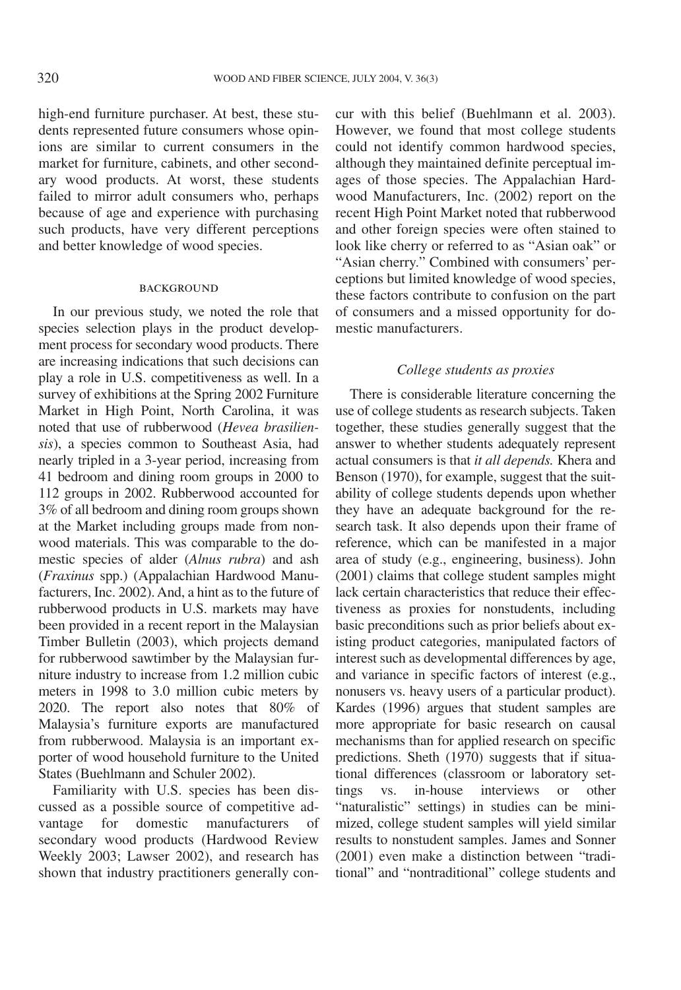high-end furniture purchaser. At best, these students represented future consumers whose opinions are similar to current consumers in the market for furniture, cabinets, and other secondary wood products. At worst, these students failed to mirror adult consumers who, perhaps because of age and experience with purchasing such products, have very different perceptions and better knowledge of wood species.

### **BACKGROUND**

In our previous study, we noted the role that species selection plays in the product development process for secondary wood products. There are increasing indications that such decisions can play a role in U.S. competitiveness as well. In a survey of exhibitions at the Spring 2002 Furniture Market in High Point, North Carolina, it was noted that use of rubberwood (*Hevea brasiliensis*), a species common to Southeast Asia, had nearly tripled in a 3-year period, increasing from 41 bedroom and dining room groups in 2000 to 112 groups in 2002. Rubberwood accounted for 3% of all bedroom and dining room groups shown at the Market including groups made from nonwood materials. This was comparable to the domestic species of alder (*Alnus rubra*) and ash (*Fraxinus* spp.) (Appalachian Hardwood Manufacturers, Inc. 2002). And, a hint as to the future of rubberwood products in U.S. markets may have been provided in a recent report in the Malaysian Timber Bulletin (2003), which projects demand for rubberwood sawtimber by the Malaysian furniture industry to increase from 1.2 million cubic meters in 1998 to 3.0 million cubic meters by 2020. The report also notes that 80% of Malaysia's furniture exports are manufactured from rubberwood. Malaysia is an important exporter of wood household furniture to the United States (Buehlmann and Schuler 2002).

Familiarity with U.S. species has been discussed as a possible source of competitive advantage for domestic manufacturers of secondary wood products (Hardwood Review Weekly 2003; Lawser 2002), and research has shown that industry practitioners generally concur with this belief (Buehlmann et al. 2003). However, we found that most college students could not identify common hardwood species, although they maintained definite perceptual images of those species. The Appalachian Hardwood Manufacturers, Inc. (2002) report on the recent High Point Market noted that rubberwood and other foreign species were often stained to look like cherry or referred to as "Asian oak" or "Asian cherry." Combined with consumers' perceptions but limited knowledge of wood species, these factors contribute to confusion on the part of consumers and a missed opportunity for domestic manufacturers.

### *College students as proxies*

There is considerable literature concerning the use of college students as research subjects. Taken together, these studies generally suggest that the answer to whether students adequately represent actual consumers is that *it all depends.* Khera and Benson (1970), for example, suggest that the suitability of college students depends upon whether they have an adequate background for the research task. It also depends upon their frame of reference, which can be manifested in a major area of study (e.g., engineering, business). John (2001) claims that college student samples might lack certain characteristics that reduce their effectiveness as proxies for nonstudents, including basic preconditions such as prior beliefs about existing product categories, manipulated factors of interest such as developmental differences by age, and variance in specific factors of interest (e.g., nonusers vs. heavy users of a particular product). Kardes (1996) argues that student samples are more appropriate for basic research on causal mechanisms than for applied research on specific predictions. Sheth (1970) suggests that if situational differences (classroom or laboratory settings vs. in-house interviews or other "naturalistic" settings) in studies can be minimized, college student samples will yield similar results to nonstudent samples. James and Sonner (2001) even make a distinction between "traditional" and "nontraditional" college students and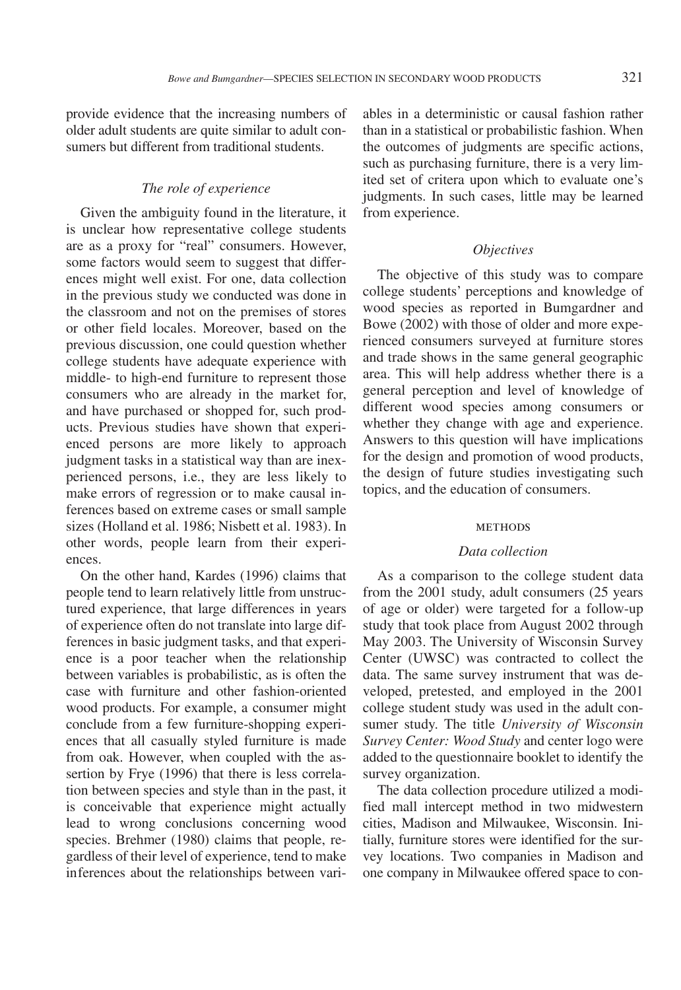provide evidence that the increasing numbers of older adult students are quite similar to adult consumers but different from traditional students.

### *The role of experience*

Given the ambiguity found in the literature, it is unclear how representative college students are as a proxy for "real" consumers. However, some factors would seem to suggest that differences might well exist. For one, data collection in the previous study we conducted was done in the classroom and not on the premises of stores or other field locales. Moreover, based on the previous discussion, one could question whether college students have adequate experience with middle- to high-end furniture to represent those consumers who are already in the market for, and have purchased or shopped for, such products. Previous studies have shown that experienced persons are more likely to approach judgment tasks in a statistical way than are inexperienced persons, i.e., they are less likely to make errors of regression or to make causal inferences based on extreme cases or small sample sizes (Holland et al. 1986; Nisbett et al. 1983). In other words, people learn from their experiences.

On the other hand, Kardes (1996) claims that people tend to learn relatively little from unstructured experience, that large differences in years of experience often do not translate into large differences in basic judgment tasks, and that experience is a poor teacher when the relationship between variables is probabilistic, as is often the case with furniture and other fashion-oriented wood products. For example, a consumer might conclude from a few furniture-shopping experiences that all casually styled furniture is made from oak. However, when coupled with the assertion by Frye (1996) that there is less correlation between species and style than in the past, it is conceivable that experience might actually lead to wrong conclusions concerning wood species. Brehmer (1980) claims that people, regardless of their level of experience, tend to make inferences about the relationships between vari-

ables in a deterministic or causal fashion rather than in a statistical or probabilistic fashion. When the outcomes of judgments are specific actions, such as purchasing furniture, there is a very limited set of critera upon which to evaluate one's judgments. In such cases, little may be learned from experience.

### *Objectives*

The objective of this study was to compare college students' perceptions and knowledge of wood species as reported in Bumgardner and Bowe (2002) with those of older and more experienced consumers surveyed at furniture stores and trade shows in the same general geographic area. This will help address whether there is a general perception and level of knowledge of different wood species among consumers or whether they change with age and experience. Answers to this question will have implications for the design and promotion of wood products, the design of future studies investigating such topics, and the education of consumers.

#### **METHODS**

#### *Data collection*

As a comparison to the college student data from the 2001 study, adult consumers (25 years of age or older) were targeted for a follow-up study that took place from August 2002 through May 2003. The University of Wisconsin Survey Center (UWSC) was contracted to collect the data. The same survey instrument that was developed, pretested, and employed in the 2001 college student study was used in the adult consumer study. The title *University of Wisconsin Survey Center: Wood Study* and center logo were added to the questionnaire booklet to identify the survey organization.

The data collection procedure utilized a modified mall intercept method in two midwestern cities, Madison and Milwaukee, Wisconsin. Initially, furniture stores were identified for the survey locations. Two companies in Madison and one company in Milwaukee offered space to con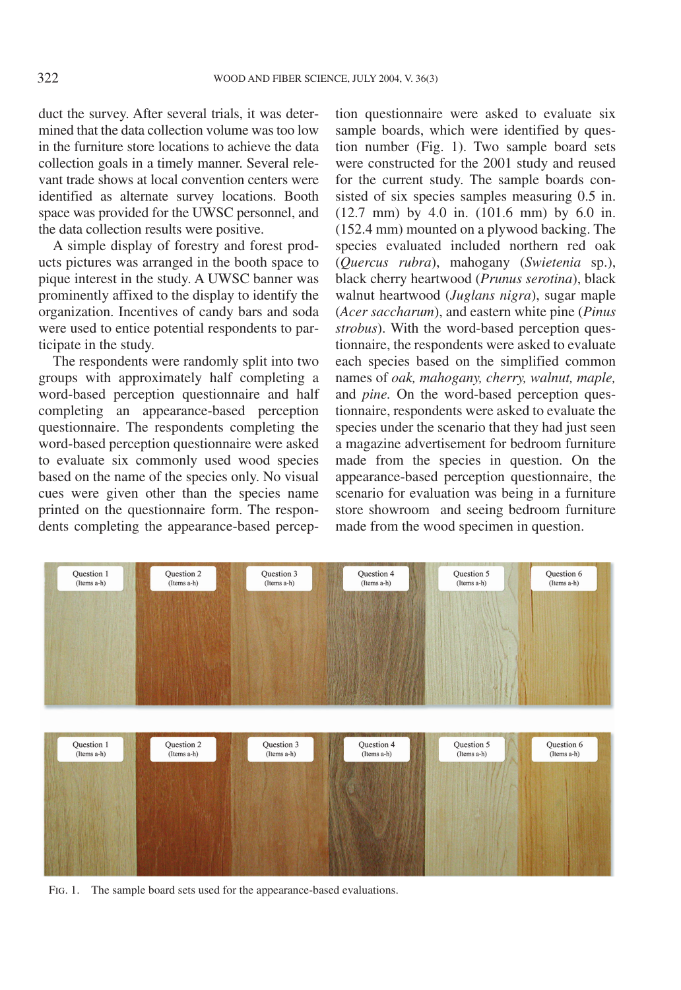duct the survey. After several trials, it was determined that the data collection volume was too low in the furniture store locations to achieve the data collection goals in a timely manner. Several relevant trade shows at local convention centers were identified as alternate survey locations. Booth space was provided for the UWSC personnel, and the data collection results were positive.

A simple display of forestry and forest products pictures was arranged in the booth space to pique interest in the study. A UWSC banner was prominently affixed to the display to identify the organization. Incentives of candy bars and soda were used to entice potential respondents to participate in the study.

The respondents were randomly split into two groups with approximately half completing a word-based perception questionnaire and half completing an appearance-based perception questionnaire. The respondents completing the word-based perception questionnaire were asked to evaluate six commonly used wood species based on the name of the species only. No visual cues were given other than the species name printed on the questionnaire form. The respondents completing the appearance-based perception questionnaire were asked to evaluate six sample boards, which were identified by question number (Fig. 1). Two sample board sets were constructed for the 2001 study and reused for the current study. The sample boards consisted of six species samples measuring 0.5 in. (12.7 mm) by 4.0 in. (101.6 mm) by 6.0 in. (152.4 mm) mounted on a plywood backing. The species evaluated included northern red oak (*Quercus rubra*), mahogany (*Swietenia* sp.), black cherry heartwood (*Prunus serotina*), black walnut heartwood (*Juglans nigra*), sugar maple (*Acer saccharum*), and eastern white pine (*Pinus strobus*). With the word-based perception questionnaire, the respondents were asked to evaluate each species based on the simplified common names of *oak, mahogany, cherry, walnut, maple,* and *pine.* On the word-based perception questionnaire, respondents were asked to evaluate the species under the scenario that they had just seen a magazine advertisement for bedroom furniture made from the species in question. On the appearance-based perception questionnaire, the scenario for evaluation was being in a furniture store showroom and seeing bedroom furniture made from the wood specimen in question.



Fig. 1. The sample board sets used for the appearance-based evaluations.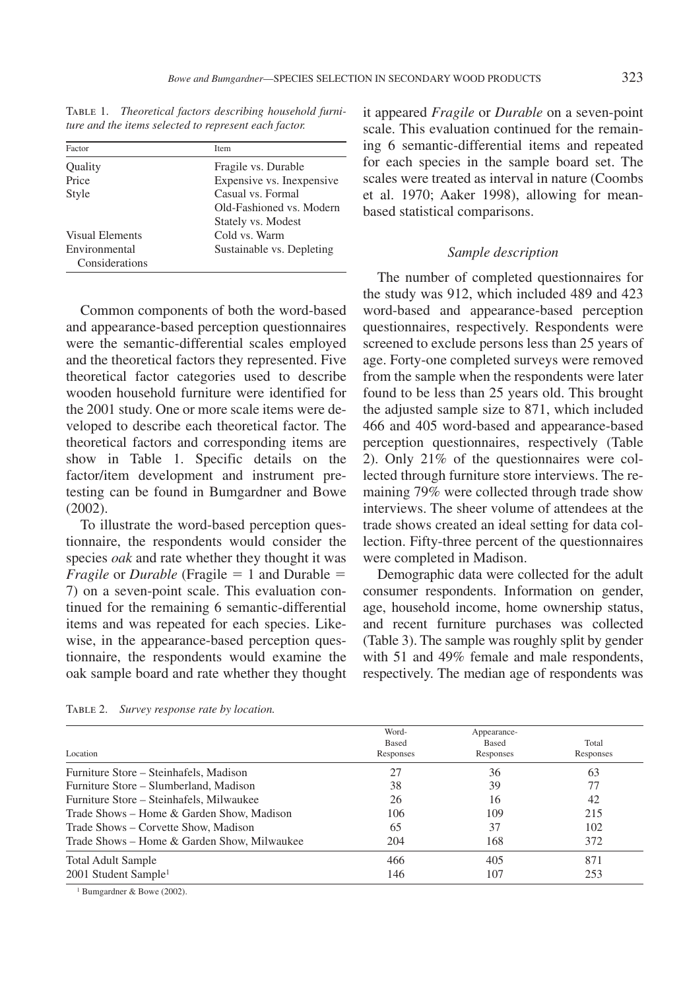| Factor                          | Item                       |
|---------------------------------|----------------------------|
| Quality                         | Fragile vs. Durable        |
| Price                           | Expensive vs. In expensive |
| Style                           | Casual vs. Formal          |
|                                 | Old-Fashioned vs. Modern   |
|                                 | Stately vs. Modest         |
| Visual Elements                 | Cold vs. Warm              |
| Environmental<br>Considerations | Sustainable vs. Depleting  |

Table 1. *Theoretical factors describing household furniture and the items selected to represent each factor.*

Common components of both the word-based and appearance-based perception questionnaires were the semantic-differential scales employed and the theoretical factors they represented. Five theoretical factor categories used to describe wooden household furniture were identified for the 2001 study. One or more scale items were developed to describe each theoretical factor. The theoretical factors and corresponding items are show in Table 1. Specific details on the factor/item development and instrument pretesting can be found in Bumgardner and Bowe (2002).

To illustrate the word-based perception questionnaire, the respondents would consider the species *oak* and rate whether they thought it was *Fragile* or *Durable* (Fragile  $= 1$  and Durable  $=$ 7) on a seven-point scale. This evaluation continued for the remaining 6 semantic-differential items and was repeated for each species. Likewise, in the appearance-based perception questionnaire, the respondents would examine the oak sample board and rate whether they thought it appeared *Fragile* or *Durable* on a seven-point scale. This evaluation continued for the remaining 6 semantic-differential items and repeated for each species in the sample board set. The scales were treated as interval in nature (Coombs et al. 1970; Aaker 1998), allowing for meanbased statistical comparisons.

### *Sample description*

The number of completed questionnaires for the study was 912, which included 489 and 423 word-based and appearance-based perception questionnaires, respectively. Respondents were screened to exclude persons less than 25 years of age. Forty-one completed surveys were removed from the sample when the respondents were later found to be less than 25 years old. This brought the adjusted sample size to 871, which included 466 and 405 word-based and appearance-based perception questionnaires, respectively (Table 2). Only 21% of the questionnaires were collected through furniture store interviews. The remaining 79% were collected through trade show interviews. The sheer volume of attendees at the trade shows created an ideal setting for data collection. Fifty-three percent of the questionnaires were completed in Madison.

Demographic data were collected for the adult consumer respondents. Information on gender, age, household income, home ownership status, and recent furniture purchases was collected (Table 3). The sample was roughly split by gender with 51 and 49% female and male respondents, respectively. The median age of respondents was

|                                             | Word-     | Appearance- |           |  |
|---------------------------------------------|-----------|-------------|-----------|--|
|                                             | Based     | Based       | Total     |  |
| Location                                    | Responses | Responses   | Responses |  |
| Furniture Store – Steinhafels, Madison      | 27        | 36          | 63        |  |
| Furniture Store – Slumberland, Madison      | 38        | 39          | 77        |  |
| Furniture Store – Steinhafels, Milwaukee    | 26        | 16          | 42        |  |
| Trade Shows – Home & Garden Show, Madison   | 106       | 109         | 215       |  |
| Trade Shows – Corvette Show, Madison        | 65        | 37          | 102       |  |
| Trade Shows – Home & Garden Show, Milwaukee | 204       | 168         | 372       |  |
| <b>Total Adult Sample</b>                   | 466       | 405         | 871       |  |
| $2001$ Student Sample <sup>1</sup>          | 146       | 107         | 253       |  |

Table 2. *Survey response rate by location.*

<sup>1</sup> Bumgardner & Bowe (2002).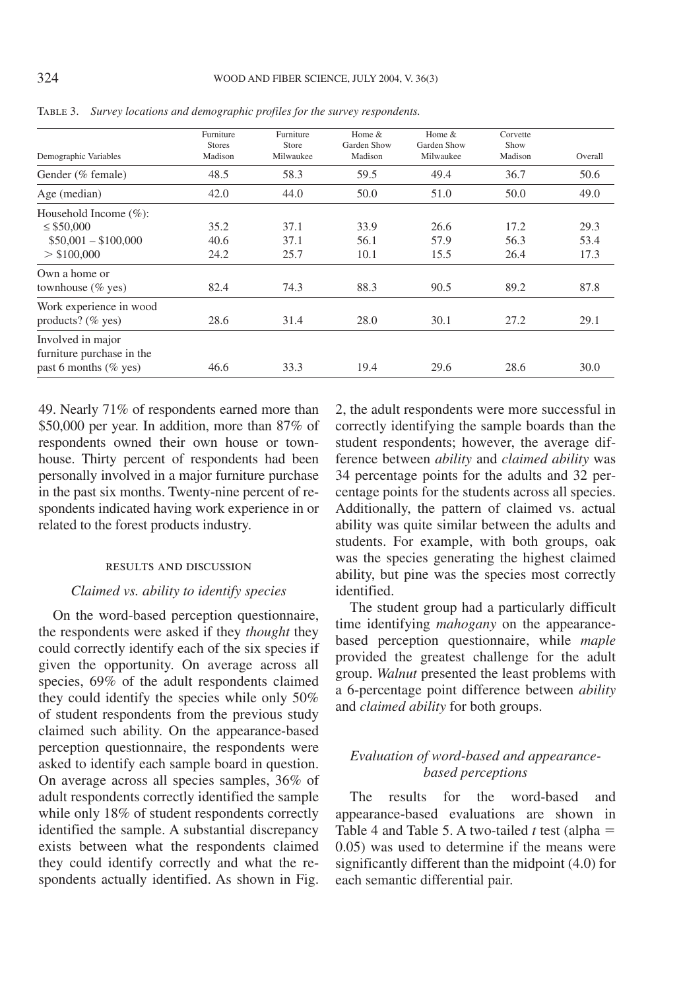| Demographic Variables                                                                | Furniture<br><b>Stores</b><br>Madison | Furniture<br>Store<br>Milwaukee | Home &<br>Garden Show<br>Madison | Home &<br>Garden Show<br>Milwaukee | Corvette<br>Show<br>Madison | Overall              |
|--------------------------------------------------------------------------------------|---------------------------------------|---------------------------------|----------------------------------|------------------------------------|-----------------------------|----------------------|
| Gender (% female)                                                                    | 48.5                                  | 58.3                            | 59.5                             | 49.4                               | 36.7                        | 50.6                 |
| Age (median)                                                                         | 42.0                                  | 44.0                            | 50.0                             | 51.0                               | 50.0                        | 49.0                 |
| Household Income $(\%):$<br>$\leq$ \$50,000<br>$$50,001 - $100,000$<br>$>$ \$100,000 | 35.2<br>40.6<br>24.2                  | 37.1<br>37.1<br>25.7            | 33.9<br>56.1<br>10.1             | 26.6<br>57.9<br>15.5               | 17.2<br>56.3<br>26.4        | 29.3<br>53.4<br>17.3 |
| Own a home or<br>townhouse $(\%$ yes)                                                | 82.4                                  | 74.3                            | 88.3                             | 90.5                               | 89.2                        | 87.8                 |
| Work experience in wood<br>products? $(\%$ yes)                                      | 28.6                                  | 31.4                            | 28.0                             | 30.1                               | 27.2                        | 29.1                 |
| Involved in major<br>furniture purchase in the<br>past 6 months ( $\%$ yes)          | 46.6                                  | 33.3                            | 19.4                             | 29.6                               | 28.6                        | 30.0                 |

Table 3. *Survey locations and demographic profiles for the survey respondents.*

49. Nearly 71% of respondents earned more than \$50,000 per year. In addition, more than 87% of respondents owned their own house or townhouse. Thirty percent of respondents had been personally involved in a major furniture purchase in the past six months. Twenty-nine percent of respondents indicated having work experience in or related to the forest products industry.

#### results and discussion

### *Claimed vs. ability to identify species*

On the word-based perception questionnaire, the respondents were asked if they *thought* they could correctly identify each of the six species if given the opportunity. On average across all species, 69% of the adult respondents claimed they could identify the species while only 50% of student respondents from the previous study claimed such ability. On the appearance-based perception questionnaire, the respondents were asked to identify each sample board in question. On average across all species samples, 36% of adult respondents correctly identified the sample while only 18% of student respondents correctly identified the sample. A substantial discrepancy exists between what the respondents claimed they could identify correctly and what the respondents actually identified. As shown in Fig.

2, the adult respondents were more successful in correctly identifying the sample boards than the student respondents; however, the average difference between *ability* and *claimed ability* was 34 percentage points for the adults and 32 percentage points for the students across all species. Additionally, the pattern of claimed vs. actual ability was quite similar between the adults and students. For example, with both groups, oak was the species generating the highest claimed ability, but pine was the species most correctly identified.

The student group had a particularly difficult time identifying *mahogany* on the appearancebased perception questionnaire, while *maple* provided the greatest challenge for the adult group. *Walnut* presented the least problems with a 6-percentage point difference between *ability* and *claimed ability* for both groups.

# *Evaluation of word-based and appearancebased perceptions*

The results for the word-based and appearance-based evaluations are shown in Table 4 and Table 5. A two-tailed  $t$  test (alpha  $=$ 0.05) was used to determine if the means were significantly different than the midpoint (4.0) for each semantic differential pair.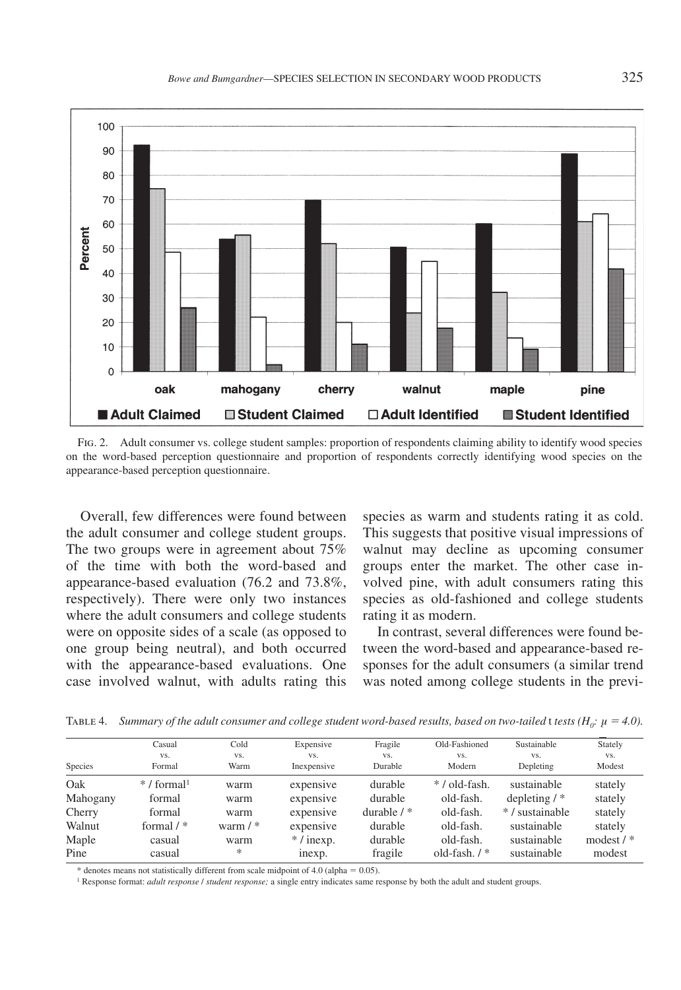

Fig. 2. Adult consumer vs. college student samples: proportion of respondents claiming ability to identify wood species on the word-based perception questionnaire and proportion of respondents correctly identifying wood species on the appearance-based perception questionnaire.

Overall, few differences were found between the adult consumer and college student groups. The two groups were in agreement about 75% of the time with both the word-based and appearance-based evaluation (76.2 and 73.8%, respectively). There were only two instances where the adult consumers and college students were on opposite sides of a scale (as opposed to one group being neutral), and both occurred with the appearance-based evaluations. One case involved walnut, with adults rating this

species as warm and students rating it as cold. This suggests that positive visual impressions of walnut may decline as upcoming consumer groups enter the market. The other case involved pine, with adult consumers rating this species as old-fashioned and college students rating it as modern.

In contrast, several differences were found between the word-based and appearance-based responses for the adult consumers (a similar trend was noted among college students in the previ-

Table 4. *Summary of the adult consumer and college student word-based results, based on two-tailed t tests (* $H_0$ *:*  $\mu = 4.0$ *).* 

|          | Casual                    | Cold         | Expensive   | Fragile       | Old-Fashioned  | Sustainable    | Stately     |
|----------|---------------------------|--------------|-------------|---------------|----------------|----------------|-------------|
|          | VS.                       | VS.          | VS.         | VS.           | VS.            | VS.            | VS.         |
| Species  | Formal                    | Warm         | Inexpensive | Durable       | Modern         | Depleting      | Modest      |
| Oak      | $* /$ formal <sup>1</sup> | warm         | expensive   | durable       | */old-fash.    | sustainable    | stately     |
| Mahogany | formal                    | warm         | expensive   | durable       | old-fash.      | depleting $/*$ | stately     |
| Cherry   | formal                    | warm         | expensive   | durable $/$ * | old-fash.      | */sustainable  | stately     |
| Walnut   | formal $/$ $*$            | warm $/$ $*$ | expensive   | durable       | old-fash.      | sustainable    | stately     |
| Maple    | casual                    | warm         | $*/$ inexp. | durable       | old-fash.      | sustainable    | modest $/*$ |
| Pine     | casual                    | *            | inexp.      | fragile       | old-fash. $/*$ | sustainable    | modest      |

\* denotes means not statistically different from scale midpoint of 4.0 (alpha  $= 0.05$ ).

<sup>1</sup> Response format: *adult response* / *student response;* a single entry indicates same response by both the adult and student groups.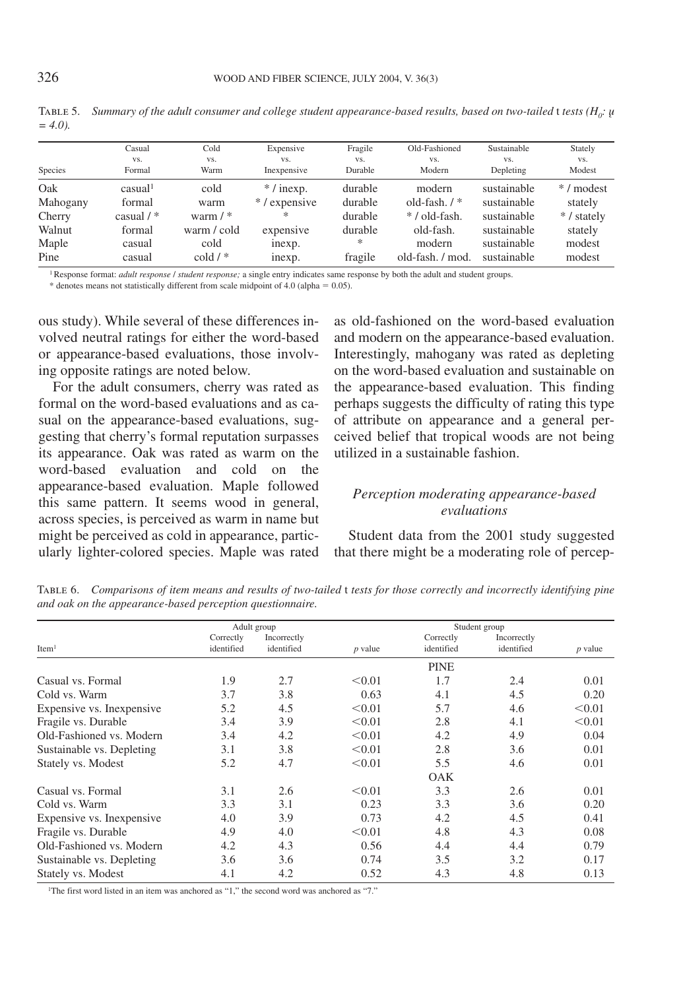|          | Casual              | Cold             | Expensive          | Fragile        | Old-Fashioned    | Sustainable      | Stately       |
|----------|---------------------|------------------|--------------------|----------------|------------------|------------------|---------------|
| Species  | VS.<br>Formal       | VS.<br>Warm      | VS.<br>Inexpensive | VS.<br>Durable | VS.<br>Modern    | VS.<br>Depleting | VS.<br>Modest |
| Oak      | casual <sup>1</sup> | cold             | $* /$ inexp.       | durable        | modern           | sustainable      | */modest      |
| Mahogany | formal              | warm             | */expensive        | durable        | old-fash. $/*$   | sustainable      | stately       |
| Cherry   | casual $/$ *        | warm $/$ $*$     | *                  | durable        | */old-fash.      | sustainable      | */stately     |
| Walnut   | formal              | warm / cold      | expensive          | durable        | old-fash.        | sustainable      | stately       |
| Maple    | casual              | cold             | inexp.             | *              | modern           | sustainable      | modest        |
| Pine     | casual              | $\text{cold}$ /* | inexp.             | fragile        | old-fash. / mod. | sustainable      | modest        |

TABLE 5. Summary of the adult consumer and college student appearance-based results, based on two-tailed  $t$  tests ( $H_0$ :  $\mu$  $= 4.01$ 

1 Response format: *adult response* / *student response;* a single entry indicates same response by both the adult and student groups.

 $*$  denotes means not statistically different from scale midpoint of 4.0 (alpha  $= 0.05$ ).

ous study). While several of these differences involved neutral ratings for either the word-based or appearance-based evaluations, those involving opposite ratings are noted below.

For the adult consumers, cherry was rated as formal on the word-based evaluations and as casual on the appearance-based evaluations, suggesting that cherry's formal reputation surpasses its appearance. Oak was rated as warm on the word-based evaluation and cold on the appearance-based evaluation. Maple followed this same pattern. It seems wood in general, across species, is perceived as warm in name but might be perceived as cold in appearance, particularly lighter-colored species. Maple was rated as old-fashioned on the word-based evaluation and modern on the appearance-based evaluation. Interestingly, mahogany was rated as depleting on the word-based evaluation and sustainable on the appearance-based evaluation. This finding perhaps suggests the difficulty of rating this type of attribute on appearance and a general perceived belief that tropical woods are not being utilized in a sustainable fashion.

### *Perception moderating appearance-based evaluations*

Student data from the 2001 study suggested that there might be a moderating role of percep-

Adult group Student group<br>Correctly Incorrectly Incorrectly Into Student group<br>Correctly Incorrectly Into Student 2. Correctly Incorrectly Incorrectly Incorrectly identified *p* value identified identified *identified* Item1 identified identified *p* value identified identified *p* value PINE  $\text{Casual vs. Formal} \quad 1.9 \quad 2.7 \quad \text{&0.01} \quad 1.7 \quad 2.4 \quad 0.01$ Cold vs. Warm 3.7 3.8 0.63 4.1 4.5 0.20 Expensive vs. Inexpensive  $5.2$   $4.5$   $< 0.01$   $5.7$   $4.6$   $< 0.01$ Fragile vs. Durable  $3.4$   $3.9$   $< 0.01$   $2.8$   $4.1$   $< 0.01$ Old-Fashioned vs. Modern 3.4 4.2  $\leq 0.01$  4.2 4.9 0.04 Sustainable vs. Depleting 3.1 3.8  $\leq 0.01$  2.8 3.6 0.01 Stately vs. Modest 5.2 4.7  $\leq 0.01$  5.5 4.6 0.01 **OAK** Casual vs. Formal 3.1 2.6  $\leq 0.01$  3.3 2.6 0.01 Cold vs. Warm 3.3 3.1 0.23 3.3 3.6 0.20 Expensive vs. Inexpensive  $4.0$   $3.9$   $0.73$   $4.2$   $4.5$   $0.41$ Fragile vs. Durable  $4.9$   $4.0$   $4.8$   $4.3$   $0.08$ Old-Fashioned vs. Modern 4.2 4.3 0.56 4.4 4.4 0.79 Sustainable vs. Depleting 3.6 3.6 0.74 3.5 3.2 0.17 Stately vs. Modest **4.1** 4.2 0.52 4.3 4.8 0.13

Table 6. *Comparisons of item means and results of two-tailed* t *tests for those correctly and incorrectly identifying pine and oak on the appearance-based perception questionnaire.*

1The first word listed in an item was anchored as "1," the second word was anchored as "7."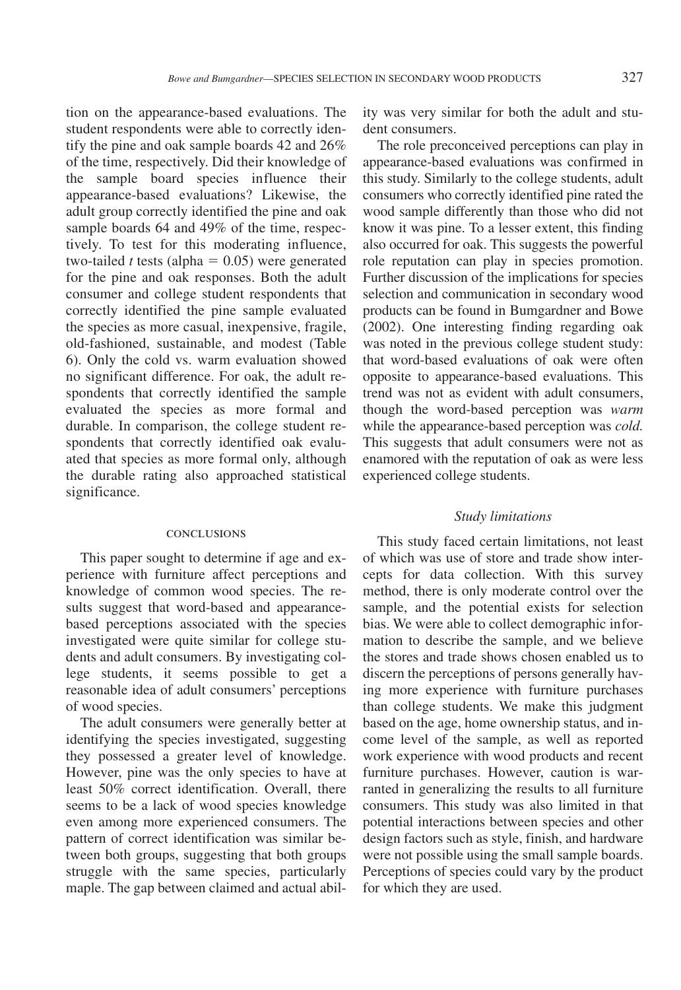tion on the appearance-based evaluations. The student respondents were able to correctly identify the pine and oak sample boards 42 and 26% of the time, respectively. Did their knowledge of the sample board species influence their appearance-based evaluations? Likewise, the adult group correctly identified the pine and oak sample boards 64 and 49% of the time, respectively. To test for this moderating influence, two-tailed *t* tests (alpha  $= 0.05$ ) were generated for the pine and oak responses. Both the adult consumer and college student respondents that correctly identified the pine sample evaluated the species as more casual, inexpensive, fragile, old-fashioned, sustainable, and modest (Table 6). Only the cold vs. warm evaluation showed no significant difference. For oak, the adult respondents that correctly identified the sample evaluated the species as more formal and durable. In comparison, the college student respondents that correctly identified oak evaluated that species as more formal only, although the durable rating also approached statistical significance.

#### conclusions

This paper sought to determine if age and experience with furniture affect perceptions and knowledge of common wood species. The results suggest that word-based and appearancebased perceptions associated with the species investigated were quite similar for college students and adult consumers. By investigating college students, it seems possible to get a reasonable idea of adult consumers' perceptions of wood species.

The adult consumers were generally better at identifying the species investigated, suggesting they possessed a greater level of knowledge. However, pine was the only species to have at least 50% correct identification. Overall, there seems to be a lack of wood species knowledge even among more experienced consumers. The pattern of correct identification was similar between both groups, suggesting that both groups struggle with the same species, particularly maple. The gap between claimed and actual ability was very similar for both the adult and student consumers.

The role preconceived perceptions can play in appearance-based evaluations was confirmed in this study. Similarly to the college students, adult consumers who correctly identified pine rated the wood sample differently than those who did not know it was pine. To a lesser extent, this finding also occurred for oak. This suggests the powerful role reputation can play in species promotion. Further discussion of the implications for species selection and communication in secondary wood products can be found in Bumgardner and Bowe (2002). One interesting finding regarding oak was noted in the previous college student study: that word-based evaluations of oak were often opposite to appearance-based evaluations. This trend was not as evident with adult consumers, though the word-based perception was *warm* while the appearance-based perception was *cold.* This suggests that adult consumers were not as enamored with the reputation of oak as were less experienced college students.

### *Study limitations*

This study faced certain limitations, not least of which was use of store and trade show intercepts for data collection. With this survey method, there is only moderate control over the sample, and the potential exists for selection bias. We were able to collect demographic information to describe the sample, and we believe the stores and trade shows chosen enabled us to discern the perceptions of persons generally having more experience with furniture purchases than college students. We make this judgment based on the age, home ownership status, and income level of the sample, as well as reported work experience with wood products and recent furniture purchases. However, caution is warranted in generalizing the results to all furniture consumers. This study was also limited in that potential interactions between species and other design factors such as style, finish, and hardware were not possible using the small sample boards. Perceptions of species could vary by the product for which they are used.